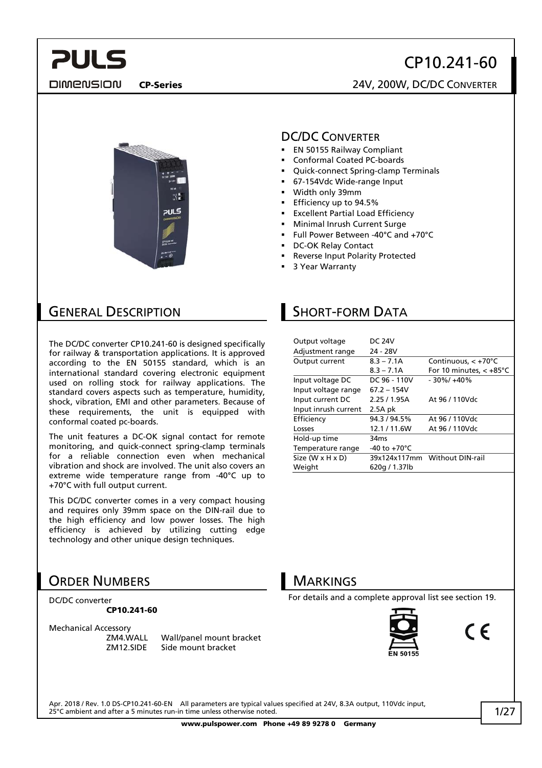#### **DIMENSION**

## CP10.241-60

CP-Series 24V, 200W, DC/DC CONVERTER



#### DC/DC CONVERTER

- **EN 50155 Railway Compliant**
- Conformal Coated PC-boards
- Quick-connect Spring-clamp Terminals
- 67-154Vdc Wide-range Input
- Width only 39mm
- **Efficiency up to 94.5%**
- Excellent Partial Load Efficiency
- Minimal Inrush Current Surge
- Full Power Between -40°C and +70°C
- DC-OK Relay Contact
- Reverse Input Polarity Protected
- 3 Year Warranty

## GENERAL DESCRIPTION

The DC/DC converter CP10.241-60 is designed specifically for railway & transportation applications. It is approved according to the EN 50155 standard, which is an international standard covering electronic equipment used on rolling stock for railway applications. The standard covers aspects such as temperature, humidity, shock, vibration, EMI and other parameters. Because of these requirements, the unit is equipped with conformal coated pc-boards.

The unit features a DC-OK signal contact for remote monitoring, and quick-connect spring-clamp terminals for a reliable connection even when mechanical vibration and shock are involved. The unit also covers an extreme wide temperature range from -40°C up to +70°C with full output current.

This DC/DC converter comes in a very compact housing and requires only 39mm space on the DIN-rail due to the high efficiency and low power losses. The high efficiency is achieved by utilizing cutting edge technology and other unique design techniques.

## ORDER NUMBERS

DC/DC converter CP10.241-60

Mechanical Accessory

ZM4.WALL Wall/panel mount bracket ZM12.SIDE Side mount bracket

## SHORT-FORM DATA

| Output voltage       | <b>DC 24V</b>           |                                   |
|----------------------|-------------------------|-----------------------------------|
| Adjustment range     | 24 - 28V                |                                   |
| Output current       | $8.3 - 7.1A$            | Continuous, $< +70^{\circ}$ C     |
|                      | $8.3 - 7.1A$            | For 10 minutes, $< +85^{\circ}$ C |
| Input voltage DC     | DC 96 - 110V            | $-30\%/+40\%$                     |
| Input voltage range  | $67.2 - 154V$           |                                   |
| Input current DC     | 2.25/1.95A              | At 96 / 110Vdc                    |
| Input inrush current | $2.5A$ pk               |                                   |
| Efficiency           | 94.3 / 94.5%            | At 96 / 110Vdc                    |
| Losses               | 12.1/11.6W              | At 96 / 110Vdc                    |
| Hold-up time         | 34ms                    |                                   |
| Temperature range    | -40 to +70 $^{\circ}$ C |                                   |
| Size (W x H x D)     |                         | 39x124x117mm Without DIN-rail     |
| Weight               | 620g / 1.37lb           |                                   |



For details and a complete approval list see section [19](#page-17-0).



Apr. 2018 / Rev. 1.0 DS-CP10.241-60-EN All parameters are typical values specified at 24V, 8.3A output, 110Vdc input, 25°C ambient and after a 5 minutes run-in time unless otherwise noted.

www.pulspower.com Phone +49 89 9278 0 Germany

 $\epsilon$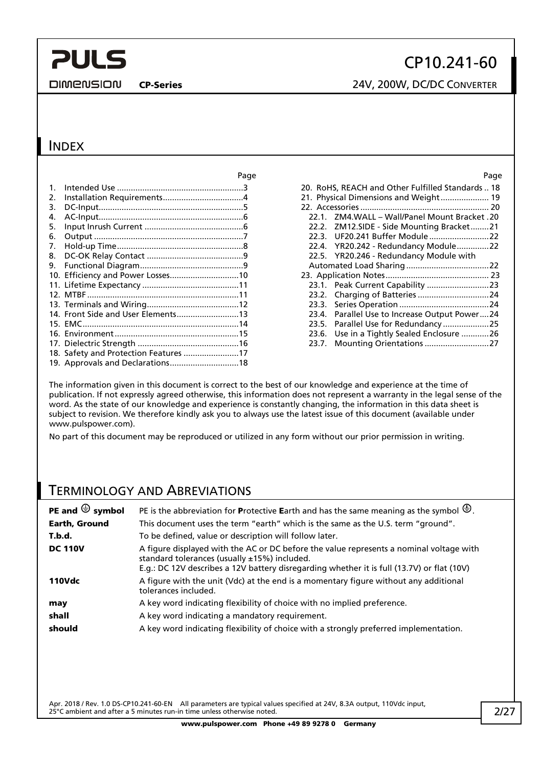**DIMENSION** 

## CP10.241-60

CP-Series 24V, 200W, DC/DC CONVERTER

### INDEX

|         |                                    | Page | Page                                              |  |
|---------|------------------------------------|------|---------------------------------------------------|--|
| $1_{-}$ |                                    |      | 20. RoHS, REACH and Other Fulfilled Standards  18 |  |
| 2.      |                                    |      |                                                   |  |
| 3.      |                                    |      |                                                   |  |
| 4.      |                                    |      | 22.1. ZM4.WALL - Wall/Panel Mount Bracket .20     |  |
| 5.      |                                    |      | 22.2. ZM12.SIDE - Side Mounting Bracket21         |  |
| 6.      |                                    |      | 22.3.                                             |  |
| 7.      |                                    |      | 22.4. YR20.242 - Redundancy Module22              |  |
|         |                                    |      | 22.5. YR20.246 - Redundancy Module with           |  |
|         |                                    |      |                                                   |  |
|         | 10. Efficiency and Power Losses10  |      |                                                   |  |
|         |                                    |      |                                                   |  |
|         |                                    |      |                                                   |  |
|         |                                    |      | 23.3.                                             |  |
|         | 14. Front Side and User Elements13 |      | Parallel Use to Increase Output Power24<br>23.4.  |  |
|         |                                    |      | Parallel Use for Redundancy 25<br>23.5.           |  |
|         |                                    |      | Use in a Tightly Sealed Enclosure 26<br>23.6.     |  |
|         |                                    |      | 23.7. Mounting Orientations 27                    |  |
|         |                                    |      |                                                   |  |
|         | 19. Approvals and Declarations18   |      |                                                   |  |

|       |                                                   | . uyu |
|-------|---------------------------------------------------|-------|
|       | 20. RoHS, REACH and Other Fulfilled Standards  18 |       |
|       | 21. Physical Dimensions and Weight 19             |       |
|       |                                                   |       |
|       | 22.1. ZM4.WALL - Wall/Panel Mount Bracket.20      |       |
|       | 22.2. ZM12.SIDE - Side Mounting Bracket21         |       |
|       |                                                   |       |
|       | 22.4. YR20.242 - Redundancy Module22              |       |
|       | 22.5. YR20.246 - Redundancy Module with           |       |
|       |                                                   |       |
|       |                                                   |       |
|       |                                                   |       |
|       |                                                   |       |
|       |                                                   |       |
|       | 23.4. Parallel Use to Increase Output Power24     |       |
| 23.5. | Parallel Use for Redundancy 25                    |       |
| 23.6. | Use in a Tightly Sealed Enclosure 26              |       |
| 23.7. | Mounting Orientations 27                          |       |
|       |                                                   |       |

The information given in this document is correct to the best of our knowledge and experience at the time of publication. If not expressly agreed otherwise, this information does not represent a warranty in the legal sense of the word. As the state of our knowledge and experience is constantly changing, the information in this data sheet is subject to revision. We therefore kindly ask you to always use the latest issue of this document (available under www.pulspower.com).

No part of this document may be reproduced or utilized in any form without our prior permission in writing.

### TERMINOLOGY AND ABREVIATIONS

| PE and $\bigoplus$ symbol | PE is the abbreviation for Protective Earth and has the same meaning as the symbol $\bigoplus$ .                                                                                                                                      |
|---------------------------|---------------------------------------------------------------------------------------------------------------------------------------------------------------------------------------------------------------------------------------|
| Earth, Ground             | This document uses the term "earth" which is the same as the U.S. term "ground".                                                                                                                                                      |
| T.b.d.                    | To be defined, value or description will follow later.                                                                                                                                                                                |
| <b>DC 110V</b>            | A figure displayed with the AC or DC before the value represents a nominal voltage with<br>standard tolerances (usually ±15%) included.<br>E.g.: DC 12V describes a 12V battery disregarding whether it is full (13.7V) or flat (10V) |
| <b>110Vdc</b>             | A figure with the unit (Vdc) at the end is a momentary figure without any additional<br>tolerances included.                                                                                                                          |
| may                       | A key word indicating flexibility of choice with no implied preference.                                                                                                                                                               |
| shall                     | A key word indicating a mandatory requirement.                                                                                                                                                                                        |
| should                    | A key word indicating flexibility of choice with a strongly preferred implementation.                                                                                                                                                 |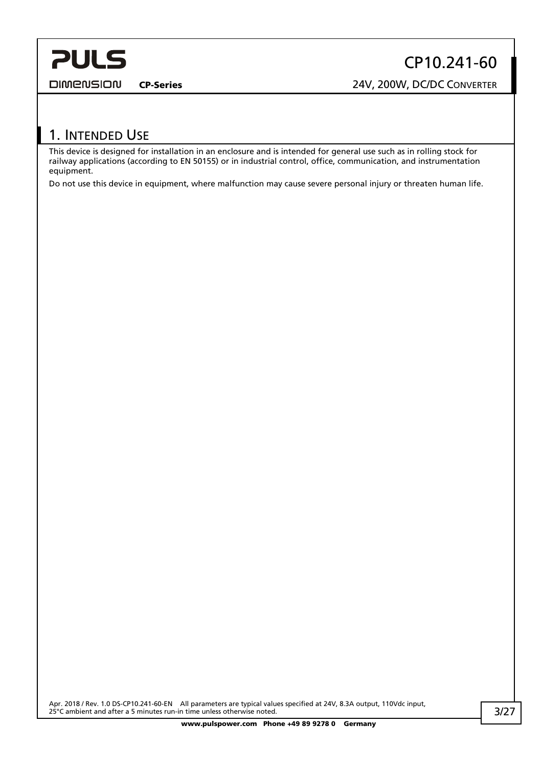<span id="page-2-0"></span>**DIMENSION** 

CP10.241-60

CP-Series 24V, 200W, DC/DC CONVERTER

## 1. INTENDED USE

This device is designed for installation in an enclosure and is intended for general use such as in rolling stock for railway applications (according to EN 50155) or in industrial control, office, communication, and instrumentation equipment.

Do not use this device in equipment, where malfunction may cause severe personal injury or threaten human life.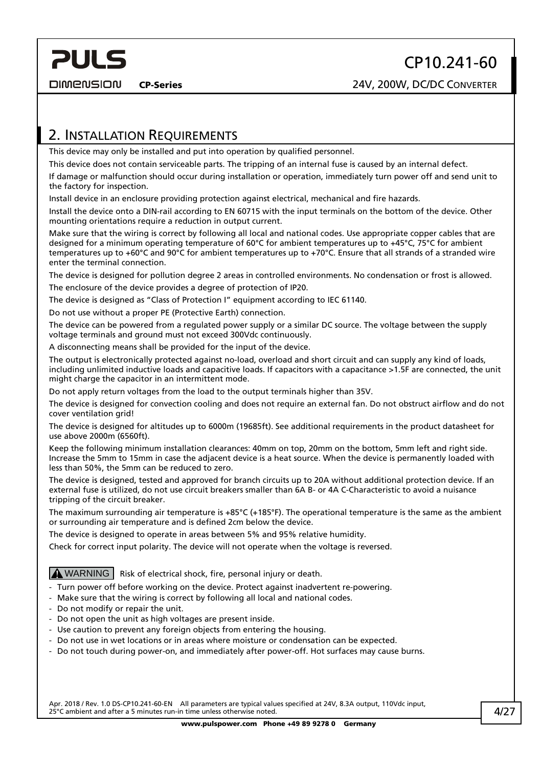<span id="page-3-0"></span>**PULS** 

## <span id="page-3-1"></span>2. INSTALLATION REQUIREMENTS

This device may only be installed and put into operation by qualified personnel.

This device does not contain serviceable parts. The tripping of an internal fuse is caused by an internal defect.

If damage or malfunction should occur during installation or operation, immediately turn power off and send unit to the factory for inspection.

Install device in an enclosure providing protection against electrical, mechanical and fire hazards.

Install the device onto a DIN-rail according to EN 60715 with the input terminals on the bottom of the device. Other mounting orientations require a reduction in output current.

Make sure that the wiring is correct by following all local and national codes. Use appropriate copper cables that are designed for a minimum operating temperature of 60°C for ambient temperatures up to +45°C, 75°C for ambient temperatures up to +60°C and 90°C for ambient temperatures up to +70°C. Ensure that all strands of a stranded wire enter the terminal connection.

The device is designed for pollution degree 2 areas in controlled environments. No condensation or frost is allowed. The enclosure of the device provides a degree of protection of IP20.

The device is designed as "Class of Protection I" equipment according to IEC 61140.

Do not use without a proper PE (Protective Earth) connection.

The device can be powered from a regulated power supply or a similar DC source. The voltage between the supply voltage terminals and ground must not exceed 300Vdc continuously.

A disconnecting means shall be provided for the input of the device.

The output is electronically protected against no-load, overload and short circuit and can supply any kind of loads, including unlimited inductive loads and capacitive loads. If capacitors with a capacitance >1.5F are connected, the unit might charge the capacitor in an intermittent mode.

Do not apply return voltages from the load to the output terminals higher than 35V.

The device is designed for convection cooling and does not require an external fan. Do not obstruct airflow and do not cover ventilation grid!

The device is designed for altitudes up to 6000m (19685ft). See additional requirements in the product datasheet for use above 2000m (6560ft).

Keep the following minimum installation clearances: 40mm on top, 20mm on the bottom, 5mm left and right side. Increase the 5mm to 15mm in case the adjacent device is a heat source. When the device is permanently loaded with less than 50%, the 5mm can be reduced to zero.

The device is designed, tested and approved for branch circuits up to 20A without additional protection device. If an external fuse is utilized, do not use circuit breakers smaller than 6A B- or 4A C-Characteristic to avoid a nuisance tripping of the circuit breaker.

The maximum surrounding air temperature is +85°C (+185°F). The operational temperature is the same as the ambient or surrounding air temperature and is defined 2cm below the device.

The device is designed to operate in areas between 5% and 95% relative humidity.

Check for correct input polarity. The device will not operate when the voltage is reversed.

 $M$  WARNING  $\vert$  Risk of electrical shock, fire, personal injury or death.

- Turn power off before working on the device. Protect against inadvertent re-powering.
- Make sure that the wiring is correct by following all local and national codes.
- Do not modify or repair the unit.
- Do not open the unit as high voltages are present inside.
- Use caution to prevent any foreign objects from entering the housing.
- Do not use in wet locations or in areas where moisture or condensation can be expected.
- Do not touch during power-on, and immediately after power-off. Hot surfaces may cause burns.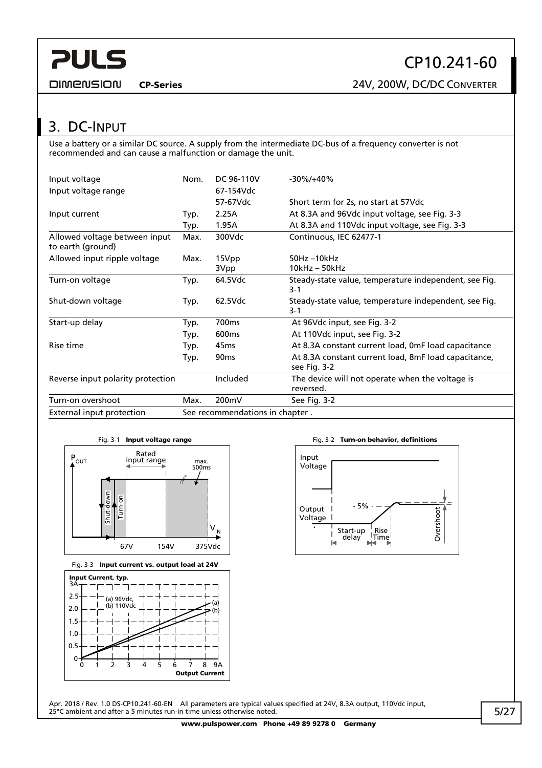<span id="page-4-0"></span>**DIMENSION** 

## 3. DC-INPUT

Use a battery or a similar DC source. A supply from the intermediate DC-bus of a frequency converter is not recommended and can cause a malfunction or damage the unit.

| Input voltage<br>Input voltage range               | Nom.                            | DC 96-110V<br>67-154Vdc | $-30\%/+40\%$                                                        |
|----------------------------------------------------|---------------------------------|-------------------------|----------------------------------------------------------------------|
|                                                    |                                 | 57-67Vdc                | Short term for 2s, no start at 57Vdc                                 |
| Input current                                      | Typ.                            | 2.25A                   | At 8.3A and 96Vdc input voltage, see Fig. 3-3                        |
|                                                    | Typ.                            | 1.95A                   | At 8.3A and 110Vdc input voltage, see Fig. 3-3                       |
| Allowed voltage between input<br>to earth (ground) | Max.                            | 300Vdc                  | Continuous, IEC 62477-1                                              |
| Allowed input ripple voltage                       | Max.                            | 15Vpp<br>3Vpp           | $50Hz - 10kHz$<br>$10kHz - 50kHz$                                    |
| Turn-on voltage                                    | Typ.                            | 64.5Vdc                 | Steady-state value, temperature independent, see Fig.<br>$3-1$       |
| Shut-down voltage                                  | Typ.                            | 62.5Vdc                 | Steady-state value, temperature independent, see Fig.<br>$3-1$       |
| Start-up delay                                     | Typ.                            | 700 <sub>ms</sub>       | At 96Vdc input, see Fig. 3-2                                         |
|                                                    | Typ.                            | 600 <sub>ms</sub>       | At 110Vdc input, see Fig. 3-2                                        |
| Rise time                                          | Typ.                            | 45 <sub>ms</sub>        | At 8.3A constant current load, OmF load capacitance                  |
|                                                    | Typ.                            | 90 <sub>ms</sub>        | At 8.3A constant current load, 8mF load capacitance,<br>see Fig. 3-2 |
| Reverse input polarity protection                  |                                 | Included                | The device will not operate when the voltage is<br>reversed.         |
| Turn-on overshoot                                  | Max.                            | 200mV                   | See Fig. 3-2                                                         |
| External input protection                          | See recommendations in chapter. |                         |                                                                      |







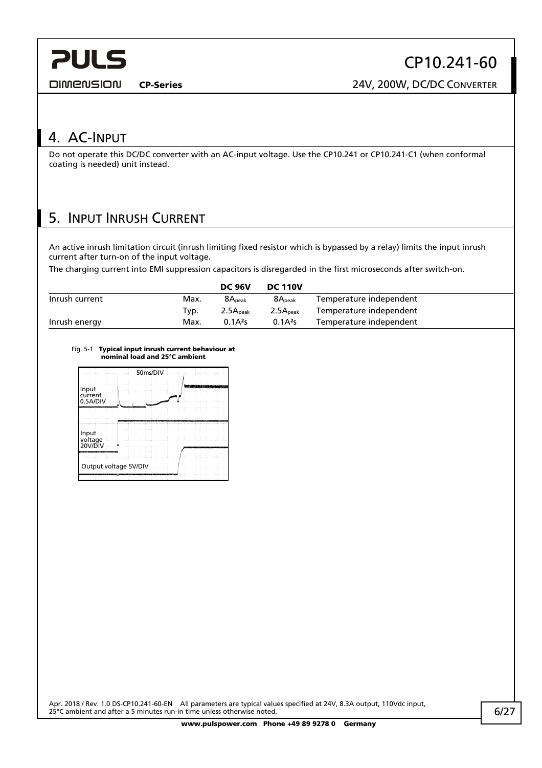<span id="page-5-0"></span>**DIMENSION** 

CP10.241-60

CP-Series 24V, 200W, DC/DC CONVERTER

## 4. AC-INPUT

Do not operate this DC/DC converter with an AC-input voltage. Use the CP10.241 or CP10.241-C1 (when conformal coating is needed) unit instead.

## 5. INPUT INRUSH CURRENT

An active inrush limitation circuit (inrush limiting fixed resistor which is bypassed by a relay) limits the input inrush current after turn-on of the input voltage.

The charging current into EMI suppression capacitors is disregarded in the first microseconds after switch-on.

|                |      | <b>DC 96V</b>        | <b>DC 110V</b>       |                         |
|----------------|------|----------------------|----------------------|-------------------------|
| Inrush current | Max. | 8A <sub>peak</sub>   | 8A <sub>peak</sub>   | Temperature independent |
|                | Typ. | 2.5A <sub>peak</sub> | 2.5A <sub>peak</sub> | Temperature independent |
| Inrush energy  | Max. | $0.1A^{2}s$          | $0.1A^2s$            | Temperature independent |

#### Fig. 5-1 Typical input inrush current behaviour at nominal load and 25°C ambient

| 50ms/DIV                     |                                                           |    |  |                                |  |  |
|------------------------------|-----------------------------------------------------------|----|--|--------------------------------|--|--|
| Input<br>current<br>0.5A/DIV | c                                                         | سر |  | <b>Markuona krikonananan v</b> |  |  |
|                              |                                                           |    |  |                                |  |  |
| Input<br>voltage<br>20V/DIV  | Ġ.                                                        |    |  |                                |  |  |
|                              | Output voltage 5V/DIV<br><b>WARENESS ARTISTIC WARRANT</b> |    |  |                                |  |  |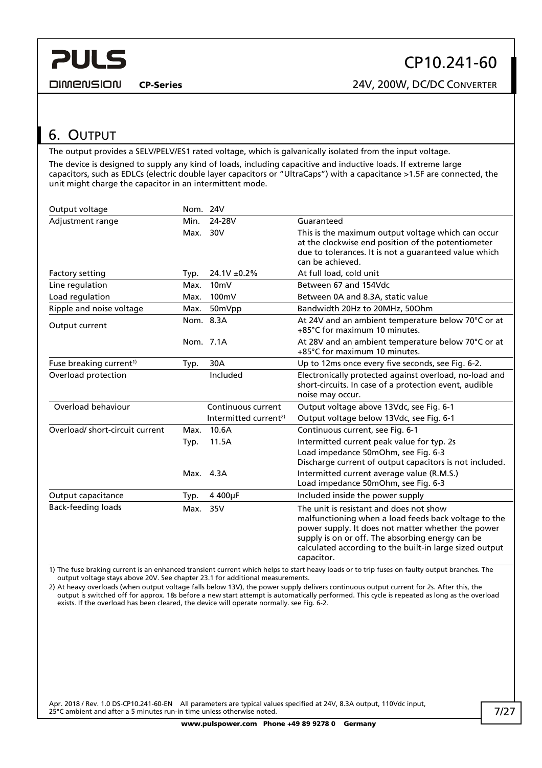<span id="page-6-0"></span>**DIMENSION** 

## 6. OUTPUT

The output provides a SELV/PELV/ES1 rated voltage, which is galvanically isolated from the input voltage. The device is designed to supply any kind of loads, including capacitive and inductive loads. If extreme large capacitors, such as EDLCs (electric double layer capacitors or "UltraCaps") with a capacitance >1.5F are connected, the unit might charge the capacitor in an intermittent mode.

| Output voltage                      | Nom. 24V |                                   |                                                                                                                                                                                                                                                                                    |
|-------------------------------------|----------|-----------------------------------|------------------------------------------------------------------------------------------------------------------------------------------------------------------------------------------------------------------------------------------------------------------------------------|
| Adjustment range                    | Min.     | 24-28V                            | Guaranteed                                                                                                                                                                                                                                                                         |
|                                     | Max.     | 30V                               | This is the maximum output voltage which can occur<br>at the clockwise end position of the potentiometer<br>due to tolerances. It is not a guaranteed value which<br>can be achieved.                                                                                              |
| Factory setting                     | Typ.     | $24.1V \pm 0.2\%$                 | At full load, cold unit                                                                                                                                                                                                                                                            |
| Line regulation                     | Max.     | 10mV                              | Between 67 and 154Vdc                                                                                                                                                                                                                                                              |
| Load regulation                     | Max.     | 100mV                             | Between 0A and 8.3A, static value                                                                                                                                                                                                                                                  |
| Ripple and noise voltage            | Max.     | 50mVpp                            | Bandwidth 20Hz to 20MHz, 50Ohm                                                                                                                                                                                                                                                     |
| Output current                      |          | Nom. 8.3A                         | At 24V and an ambient temperature below 70°C or at<br>+85°C for maximum 10 minutes.                                                                                                                                                                                                |
|                                     |          | Nom. 7.1A                         | At 28V and an ambient temperature below 70°C or at<br>+85°C for maximum 10 minutes.                                                                                                                                                                                                |
| Fuse breaking current <sup>1)</sup> | Typ.     | 30A                               | Up to 12ms once every five seconds, see Fig. 6-2.                                                                                                                                                                                                                                  |
| Overload protection                 |          | Included                          | Electronically protected against overload, no-load and<br>short-circuits. In case of a protection event, audible<br>noise may occur.                                                                                                                                               |
| Overload behaviour                  |          | Continuous current                | Output voltage above 13Vdc, see Fig. 6-1                                                                                                                                                                                                                                           |
|                                     |          | Intermitted current <sup>2)</sup> | Output voltage below 13Vdc, see Fig. 6-1                                                                                                                                                                                                                                           |
| Overload/short-circuit current      | Max.     | 10.6A                             | Continuous current, see Fig. 6-1                                                                                                                                                                                                                                                   |
|                                     | Typ.     | 11.5A                             | Intermitted current peak value for typ. 2s                                                                                                                                                                                                                                         |
|                                     |          |                                   | Load impedance 50mOhm, see Fig. 6-3<br>Discharge current of output capacitors is not included.                                                                                                                                                                                     |
|                                     |          | Max. 4.3A                         | Intermitted current average value (R.M.S.)<br>Load impedance 50mOhm, see Fig. 6-3                                                                                                                                                                                                  |
| Output capacitance                  | Typ.     | 4 400µF                           | Included inside the power supply                                                                                                                                                                                                                                                   |
| <b>Back-feeding loads</b>           | Max.     | 35V                               | The unit is resistant and does not show<br>malfunctioning when a load feeds back voltage to the<br>power supply. It does not matter whether the power<br>supply is on or off. The absorbing energy can be<br>calculated according to the built-in large sized output<br>capacitor. |

1) The fuse braking current is an enhanced transient current which helps to start heavy loads or to trip fuses on faulty output branches. The output voltage stays above 20V. See chapter [23.1](#page-22-1) for additional measurements.

2) At heavy overloads (when output voltage falls below 13V), the power supply delivers continuous output current for 2s. After this, the output is switched off for approx. 18s before a new start attempt is automatically performed. This cycle is repeated as long as the overload exists. If the overload has been cleared, the device will operate normally. see [Fig. 6-2](#page-7-1).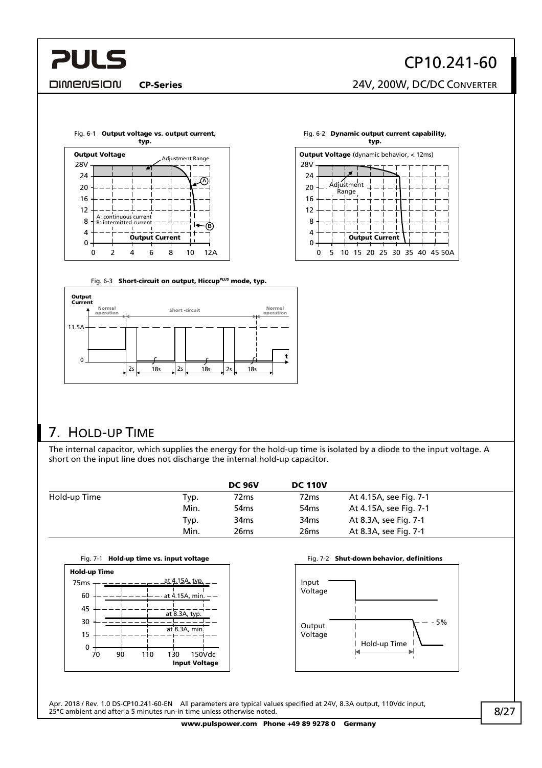#### <span id="page-7-0"></span>**DIMENSION**

# CP10.241-60

CP-Series 24V, 200W, DC/DC CONVERTER

<span id="page-7-1"></span>



Fig. 6-3 Short-circuit on output, Hiccup<sup>PLUS</sup> mode, typ.

<span id="page-7-2"></span>

## 7. HOLD-UP TIME

The internal capacitor, which supplies the energy for the hold-up time is isolated by a diode to the input voltage. A short on the input line does not discharge the internal hold-up capacitor.

|              |      | <b>DC 96V</b>    | <b>DC 110V</b>   |                        |
|--------------|------|------------------|------------------|------------------------|
| Hold-up Time | Typ. | 72ms             | 72 <sub>ms</sub> | At 4.15A, see Fig. 7-1 |
|              | Min. | 54 <sub>ms</sub> | 54 <sub>ms</sub> | At 4.15A, see Fig. 7-1 |
|              | Typ. | 34 <sub>ms</sub> | 34 <sub>ms</sub> | At 8.3A, see Fig. 7-1  |
|              | Min. | 26ms             | 26 <sub>ms</sub> | At 8.3A, see Fig. 7-1  |

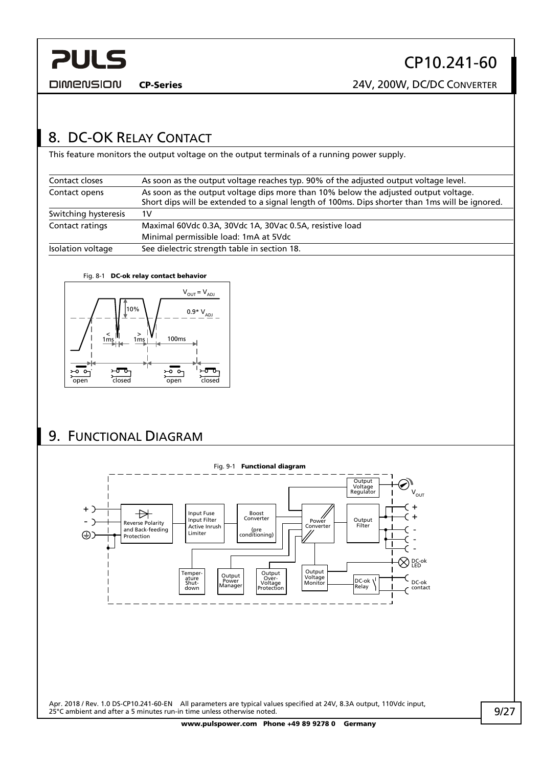<span id="page-8-0"></span>

CP-Series 24V, 200W, DC/DC CONVERTER

## 8. DC-OK RELAY CONTACT

This feature monitors the output voltage on the output terminals of a running power supply.

| Contact closes       | As soon as the output voltage reaches typ. 90% of the adjusted output voltage level.                                                                                                   |
|----------------------|----------------------------------------------------------------------------------------------------------------------------------------------------------------------------------------|
| Contact opens        | As soon as the output voltage dips more than 10% below the adjusted output voltage.<br>Short dips will be extended to a signal length of 100ms. Dips shorter than 1ms will be ignored. |
| Switching hysteresis | 1V                                                                                                                                                                                     |
| Contact ratings      | Maximal 60Vdc 0.3A, 30Vdc 1A, 30Vac 0.5A, resistive load                                                                                                                               |
|                      | Minimal permissible load: 1mA at 5Vdc                                                                                                                                                  |
| Isolation voltage    | See dielectric strength table in section 18.                                                                                                                                           |

#### Fig. 8-1 DC-ok relay contact behavior



## 9. FUNCTIONAL DIAGRAM



www.pulspower.com Phone +49 89 9278 0 Germany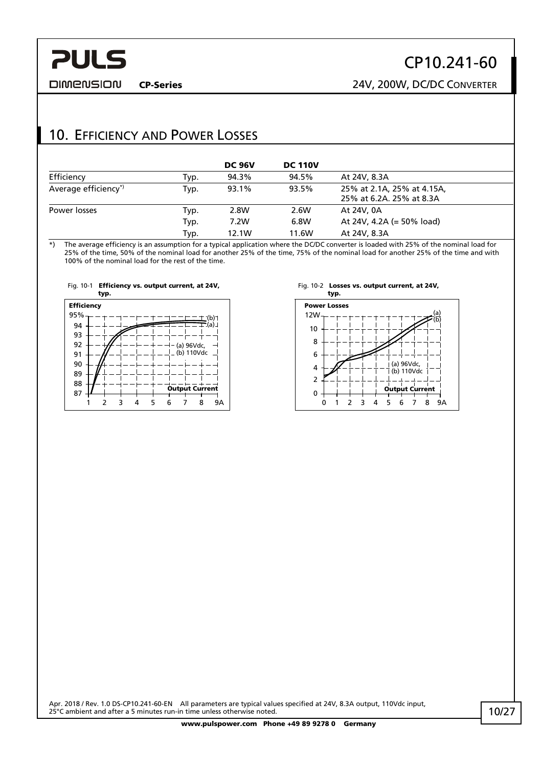#### <span id="page-9-0"></span>**DIMENSION**

## CP10.241-60

CP-Series 24V, 200W, DC/DC CONVERTER

## 10. EFFICIENCY AND POWER LOSSES

|                      |      | <b>DC 96V</b> | <b>DC 110V</b> |                                                        |
|----------------------|------|---------------|----------------|--------------------------------------------------------|
| Efficiency           | Typ. | 94.3%         | 94.5%          | At 24V, 8.3A                                           |
| Average efficiency*) | Typ. | 93.1%         | 93.5%          | 25% at 2.1A, 25% at 4.15A,<br>25% at 6.2A, 25% at 8.3A |
| Power losses         | Typ. | 2.8W          | 2.6W           | At 24V, 0A                                             |
|                      | Typ. | 7.2W          | 6.8W           | At 24V, 4.2A (= $50\%$ load)                           |
|                      | Typ. | 12.1W         | 11.6W          | At 24V, 8.3A                                           |

\*) The average efficiency is an assumption for a typical application where the DC/DC converter is loaded with 25% of the nominal load for 25% of the time, 50% of the nominal load for another 25% of the time, 75% of the nominal load for another 25% of the time and with 100% of the nominal load for the rest of the time.







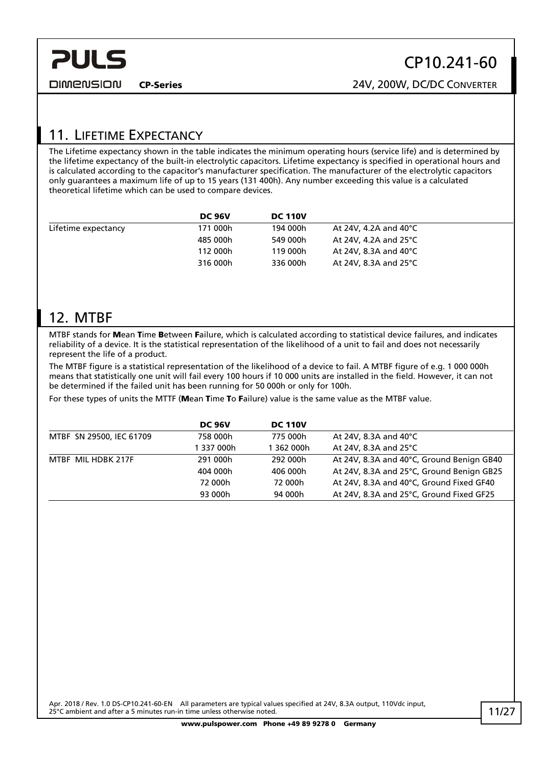<span id="page-10-0"></span>**DIMENSION** 

## CP10.241-60

CP-Series 24V, 200W, DC/DC CONVERTER

## 11. LIFETIME EXPECTANCY

The Lifetime expectancy shown in the table indicates the minimum operating hours (service life) and is determined by the lifetime expectancy of the built-in electrolytic capacitors. Lifetime expectancy is specified in operational hours and is calculated according to the capacitor's manufacturer specification. The manufacturer of the electrolytic capacitors only guarantees a maximum life of up to 15 years (131 400h). Any number exceeding this value is a calculated theoretical lifetime which can be used to compare devices.

|                     | <b>DC 96V</b> | <b>DC 110V</b> |                                  |
|---------------------|---------------|----------------|----------------------------------|
| Lifetime expectancy | 171 000h      | 194 000h       | At 24V, 4.2A and 40 $^{\circ}$ C |
|                     | 485 000h      | 549 000h       | At 24V, 4.2A and 25°C            |
|                     | 112 000h      | 119 000h       | At 24V, 8.3A and 40°C            |
|                     | 316 000h      | 336 000h       | At 24V, 8.3A and 25 $^{\circ}$ C |

## 12. MTBF

MTBF stands for Mean Time Between Failure, which is calculated according to statistical device failures, and indicates reliability of a device. It is the statistical representation of the likelihood of a unit to fail and does not necessarily represent the life of a product.

The MTBF figure is a statistical representation of the likelihood of a device to fail. A MTBF figure of e.g. 1 000 000h means that statistically one unit will fail every 100 hours if 10 000 units are installed in the field. However, it can not be determined if the failed unit has been running for 50 000h or only for 100h.

For these types of units the MTTF (Mean Time To Failure) value is the same value as the MTBF value.

|                          | <b>DC 96V</b> | <b>DC 110V</b> |                                           |
|--------------------------|---------------|----------------|-------------------------------------------|
| MTBF SN 29500, IEC 61709 | 758 000h      | 775 000h       | At 24V, 8.3A and 40 $^{\circ}$ C          |
|                          | 1 337 000h    | 1 362 000h     | At 24V, 8.3A and 25°C                     |
| MTBF MIL HDBK 217F       | 291 000h      | 292 000h       | At 24V, 8.3A and 40°C, Ground Benign GB40 |
|                          | 404 000h      | 406 000h       | At 24V, 8.3A and 25°C, Ground Benign GB25 |
|                          | 72 000h       | 72 000h        | At 24V, 8.3A and 40°C, Ground Fixed GF40  |
|                          | 93 000h       | 94 000h        | At 24V, 8.3A and 25°C, Ground Fixed GF25  |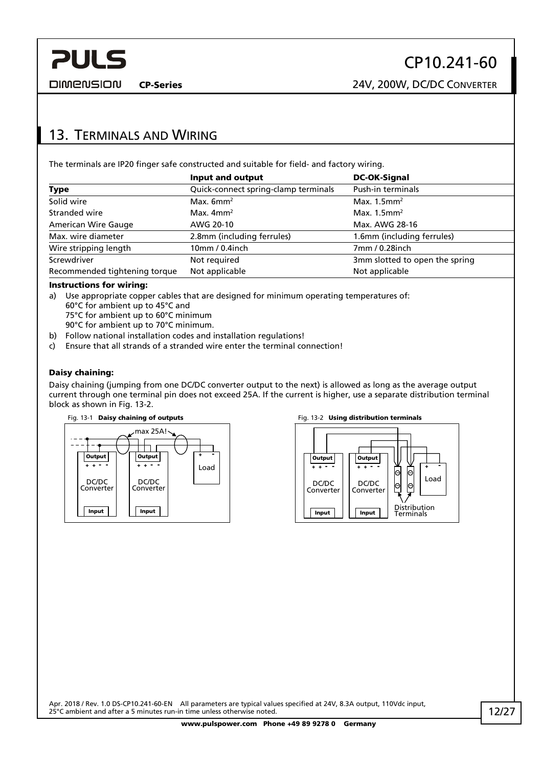CP-Series 24V, 200W, DC/DC CONVERTER

## <span id="page-11-0"></span>13. TERMINALS AND WIRING

The terminals are IP20 finger safe constructed and suitable for field- and factory wiring.

|                               | Input and output                     | <b>DC-OK-Signal</b>            |
|-------------------------------|--------------------------------------|--------------------------------|
| <b>Type</b>                   | Quick-connect spring-clamp terminals | Push-in terminals              |
| Solid wire                    | Max. $6mm^2$                         | Max. $1.5$ mm <sup>2</sup>     |
| Stranded wire                 | Max. $4mm2$                          | Max. $1.5$ mm <sup>2</sup>     |
| <b>American Wire Gauge</b>    | AWG 20-10                            | Max. AWG 28-16                 |
| Max. wire diameter            | 2.8mm (including ferrules)           | 1.6mm (including ferrules)     |
| Wire stripping length         | 10mm / 0.4inch                       | 7mm / 0.28inch                 |
| Screwdriver                   | Not required                         | 3mm slotted to open the spring |
| Recommended tightening torque | Not applicable                       | Not applicable                 |

#### Instructions for wiring:

- a) Use appropriate copper cables that are designed for minimum operating temperatures of: 60°C for ambient up to 45°C and 75°C for ambient up to 60°C minimum 90°C for ambient up to 70°C minimum.
- b) Follow national installation codes and installation regulations!
- c) Ensure that all strands of a stranded wire enter the terminal connection!

#### Daisy chaining:

Daisy chaining (jumping from one DC/DC converter output to the next) is allowed as long as the average output current through one terminal pin does not exceed 25A. If the current is higher, use a separate distribution terminal block as shown in Fig. 13-2.





#### Fig. 13-1 Daisy chaining of outputs Fig. 13-2 Using distribution terminals

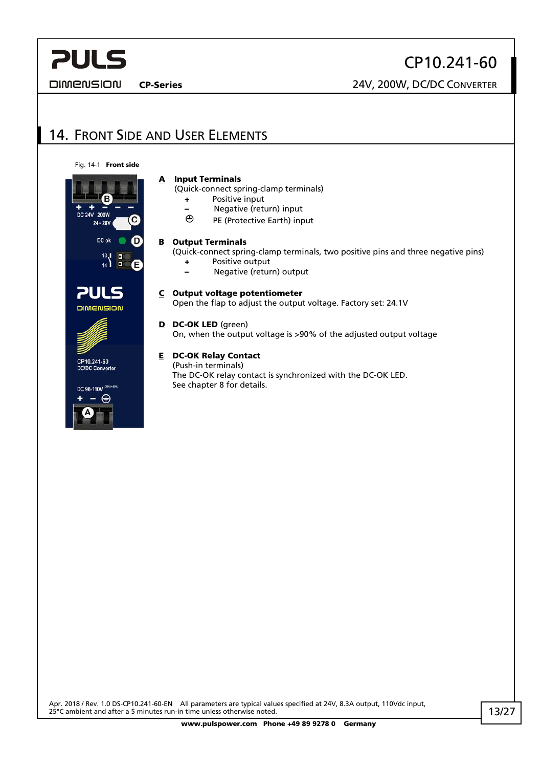<span id="page-12-0"></span>**DIMENSION** 

CP10.241-60

CP-Series 24V, 200W, DC/DC CONVERTER

## 14. FRONT SIDE AND USER ELEMENTS

Fig. 14-1 Front side

## DC 24V 200W  $24 - 28V$ DC ok  $\begin{array}{c} 13 \\ 14 \end{array}$  = **PULS DIMENSION** CP10.241-60 **DC/DC Converter**  $\,$ OC 96-110V  $^{\rm 30}$ ⊕

#### A Input Terminals

(Quick-connect spring-clamp terminals)

- + Positive input
- Negative (return) input<br>⊕ PE (Protective Earth) inn
- PE (Protective Earth) input

#### **B** Output Terminals

(Quick-connect spring-clamp terminals, two positive pins and three negative pins)

- + Positive output
- Negative (return) output
- C Output voltage potentiometer

Open the flap to adjust the output voltage. Factory set: 24.1V

#### D DC-OK LED (green)

On, when the output voltage is >90% of the adjusted output voltage

#### E DC-OK Relay Contact

(Push-in terminals) The DC-OK relay contact is synchronized with the DC-OK LED. See chapter 8 for details.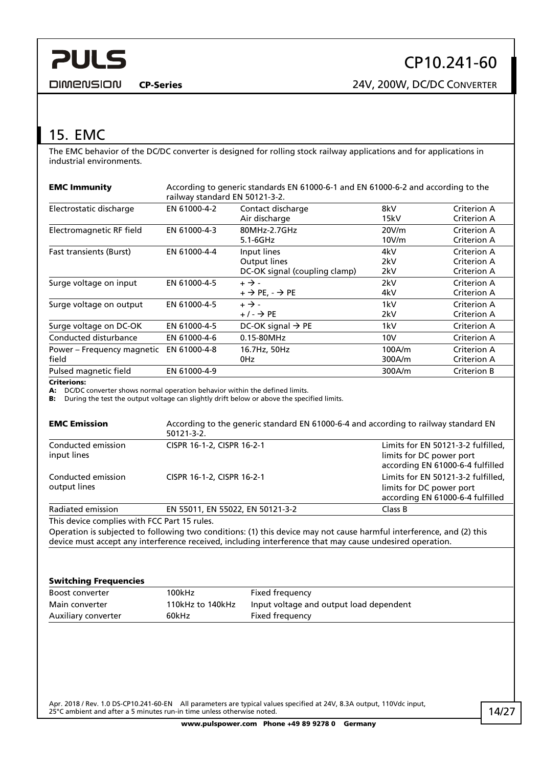<span id="page-13-0"></span>**DIMENSION** 

CP-Series 24V, 200W, DC/DC CONVERTER

## <span id="page-13-1"></span>15. EMC

The EMC behavior of the DC/DC converter is designed for rolling stock railway applications and for applications in industrial environments.

| <b>EMC Immunity</b>                 | According to generic standards EN 61000-6-1 and EN 61000-6-2 and according to the<br>railway standard EN 50121-3-2. |                                                              |                   |                                           |
|-------------------------------------|---------------------------------------------------------------------------------------------------------------------|--------------------------------------------------------------|-------------------|-------------------------------------------|
| Electrostatic discharge             | EN 61000-4-2                                                                                                        | Contact discharge<br>Air discharge                           | 8kV<br>15kV       | Criterion A<br>Criterion A                |
| Electromagnetic RF field            | EN 61000-4-3                                                                                                        | 80MHz-2.7GHz<br>$5.1 - 6GHz$                                 | 20V/m<br>10V/m    | Criterion A<br>Criterion A                |
| <b>Fast transients (Burst)</b>      | EN 61000-4-4                                                                                                        | Input lines<br>Output lines<br>DC-OK signal (coupling clamp) | 4kV<br>2kV<br>2kV | Criterion A<br>Criterion A<br>Criterion A |
| Surge voltage on input              | EN 61000-4-5                                                                                                        | $+ \rightarrow -$<br>$+$ $\rightarrow$ PE, $ \rightarrow$ PE | 2kV<br>4kV        | Criterion A<br>Criterion A                |
| Surge voltage on output             | EN 61000-4-5                                                                                                        | $+ \rightarrow -$<br>$+/ \rightarrow$ PE                     | 1kV<br>2kV        | Criterion A<br>Criterion A                |
| Surge voltage on DC-OK              | EN 61000-4-5                                                                                                        | DC-OK signal $\rightarrow$ PE                                | 1kV               | Criterion A                               |
| Conducted disturbance               | EN 61000-4-6                                                                                                        | 0.15-80MHz                                                   | 10V               | Criterion A                               |
| Power – Frequency magnetic<br>field | EN 61000-4-8                                                                                                        | 16.7Hz, 50Hz<br>0Hz                                          | 100A/m<br>300A/m  | Criterion A<br><b>Criterion A</b>         |
| Pulsed magnetic field               | EN 61000-4-9                                                                                                        |                                                              | 300A/m            | Criterion B                               |
| <b>Criterions:</b>                  |                                                                                                                     |                                                              |                   |                                           |

A: DC/DC converter shows normal operation behavior within the defined limits.

B: During the test the output voltage can slightly drift below or above the specified limits.

| <b>EMC Emission</b>                | According to the generic standard EN 61000-6-4 and according to railway standard EN<br>$50121 - 3 - 2$ . |                                                                                                    |
|------------------------------------|----------------------------------------------------------------------------------------------------------|----------------------------------------------------------------------------------------------------|
| Conducted emission                 | CISPR 16-1-2, CISPR 16-2-1                                                                               | Limits for EN 50121-3-2 fulfilled,                                                                 |
| input lines                        |                                                                                                          | limits for DC power port<br>according EN 61000-6-4 fulfilled                                       |
| Conducted emission<br>output lines | CISPR 16-1-2, CISPR 16-2-1                                                                               | Limits for EN 50121-3-2 fulfilled,<br>limits for DC power port<br>according EN 61000-6-4 fulfilled |
| Radiated emission                  | EN 55011, EN 55022, EN 50121-3-2                                                                         | Class B                                                                                            |

This device complies with FCC Part 15 rules.

Operation is subjected to following two conditions: (1) this device may not cause harmful interference, and (2) this device must accept any interference received, including interference that may cause undesired operation.

#### Switching Frequencies

| Boost converter     | 100kHz           | Fixed frequency                         |
|---------------------|------------------|-----------------------------------------|
| Main converter      | 110kHz to 140kHz | Input voltage and output load dependent |
| Auxiliary converter | 60kHz            | Fixed frequency                         |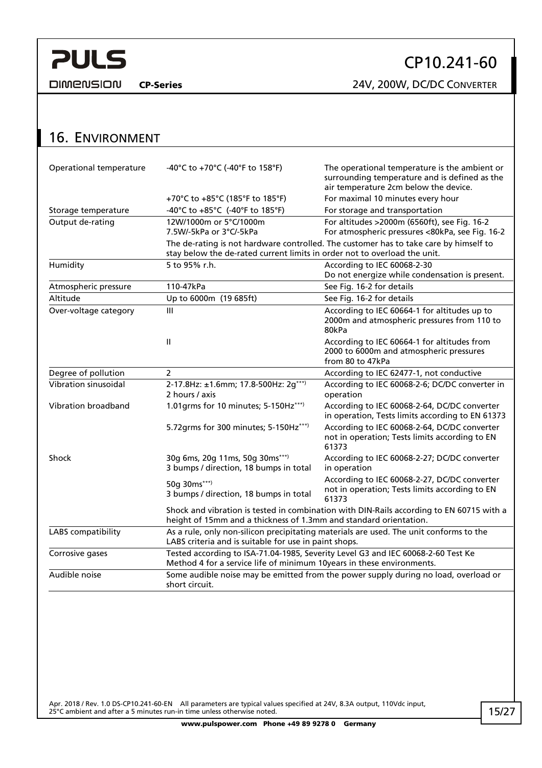<span id="page-14-0"></span>**DIMENSION** 

CP10.241-60

CP-Series 24V, 200W, DC/DC CONVERTER

| <b>16. ENVIRONMENT</b>  |                                                                                                                                                               |                                                                                                                                         |  |  |
|-------------------------|---------------------------------------------------------------------------------------------------------------------------------------------------------------|-----------------------------------------------------------------------------------------------------------------------------------------|--|--|
| Operational temperature | -40°C to +70°C (-40°F to 158°F)                                                                                                                               | The operational temperature is the ambient or<br>surrounding temperature and is defined as the<br>air temperature 2cm below the device. |  |  |
|                         | +70°C to +85°C (185°F to 185°F)                                                                                                                               | For maximal 10 minutes every hour                                                                                                       |  |  |
| Storage temperature     | -40°C to +85°C (-40°F to 185°F)                                                                                                                               | For storage and transportation                                                                                                          |  |  |
| Output de-rating        | 12W/1000m or 5°C/1000m<br>7.5W/-5kPa or 3°C/-5kPa                                                                                                             | For altitudes >2000m (6560ft), see Fig. 16-2<br>For atmospheric pressures <80kPa, see Fig. 16-2                                         |  |  |
|                         | stay below the de-rated current limits in order not to overload the unit.                                                                                     | The de-rating is not hardware controlled. The customer has to take care by himself to                                                   |  |  |
| Humidity                | 5 to 95% r.h.                                                                                                                                                 | According to IEC 60068-2-30<br>Do not energize while condensation is present.                                                           |  |  |
| Atmospheric pressure    | 110-47kPa                                                                                                                                                     | See Fig. 16-2 for details                                                                                                               |  |  |
| Altitude                | Up to 6000m (19 685ft)                                                                                                                                        | See Fig. 16-2 for details                                                                                                               |  |  |
| Over-voltage category   | III                                                                                                                                                           | According to IEC 60664-1 for altitudes up to<br>2000m and atmospheric pressures from 110 to<br>80kPa                                    |  |  |
|                         | $\mathbf{H}$                                                                                                                                                  | According to IEC 60664-1 for altitudes from<br>2000 to 6000m and atmospheric pressures<br>from 80 to 47kPa                              |  |  |
| Degree of pollution     | $\overline{2}$                                                                                                                                                | According to IEC 62477-1, not conductive                                                                                                |  |  |
| Vibration sinusoidal    | 2-17.8Hz: ±1.6mm; 17.8-500Hz: 2g***)<br>2 hours / axis                                                                                                        | According to IEC 60068-2-6; DC/DC converter in<br>operation                                                                             |  |  |
| Vibration broadband     | 1.01grms for 10 minutes; 5-150Hz***)                                                                                                                          | According to IEC 60068-2-64, DC/DC converter<br>in operation, Tests limits according to EN 61373                                        |  |  |
|                         | 5.72grms for 300 minutes; 5-150Hz***)                                                                                                                         | According to IEC 60068-2-64, DC/DC converter<br>not in operation; Tests limits according to EN<br>61373                                 |  |  |
| Shock                   | 30g 6ms, 20g 11ms, 50g 30ms***)<br>3 bumps / direction, 18 bumps in total                                                                                     | According to IEC 60068-2-27; DC/DC converter<br>in operation                                                                            |  |  |
|                         | 50g 30ms***)<br>3 bumps / direction, 18 bumps in total                                                                                                        | According to IEC 60068-2-27, DC/DC converter<br>not in operation; Tests limits according to EN<br>61373                                 |  |  |
|                         | Shock and vibration is tested in combination with DIN-Rails according to EN 60715 with a<br>height of 15mm and a thickness of 1.3mm and standard orientation. |                                                                                                                                         |  |  |
| LABS compatibility      | LABS criteria and is suitable for use in paint shops.                                                                                                         | As a rule, only non-silicon precipitating materials are used. The unit conforms to the                                                  |  |  |
| Corrosive gases         | Method 4 for a service life of minimum 10years in these environments.                                                                                         | Tested according to ISA-71.04-1985, Severity Level G3 and IEC 60068-2-60 Test Ke                                                        |  |  |
| Audible noise           | Some audible noise may be emitted from the power supply during no load, overload or<br>short circuit.                                                         |                                                                                                                                         |  |  |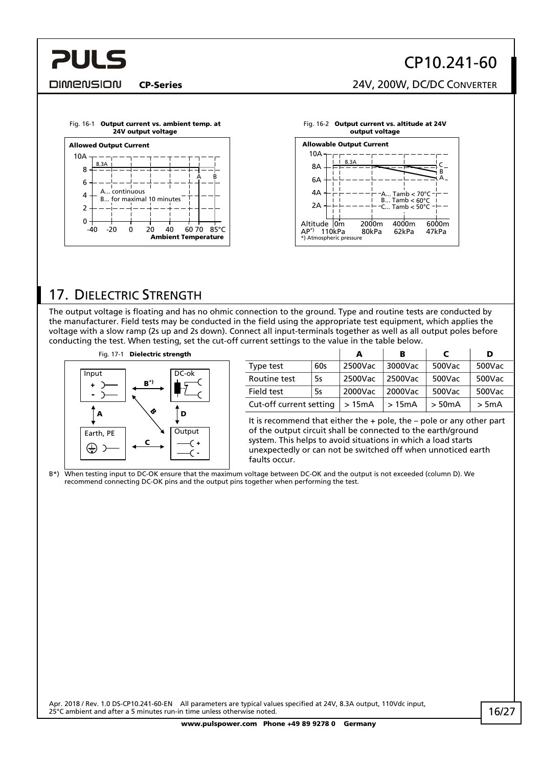## CP10.241-60

CP-Series 24V, 200W, DC/DC CONVERTER



<span id="page-15-0"></span>**PULS** 

<span id="page-15-2"></span>



## <span id="page-15-1"></span>17. DIELECTRIC STRENGTH

The output voltage is floating and has no ohmic connection to the ground. Type and routine tests are conducted by the manufacturer. Field tests may be conducted in the field using the appropriate test equipment, which applies the voltage with a slow ramp (2s up and 2s down). Connect all input-terminals together as well as all output poles before conducting the test. When testing, set the cut-off current settings to the value in the table below.



|                         |           | А       | в       | С           | D       |
|-------------------------|-----------|---------|---------|-------------|---------|
| Type test               | 60s       | 2500Vac | 3000Vac | 500Vac      | 500Vac  |
| Routine test            | 5s        | 2500Vac | 2500Vac | 500Vac      | 500Vac  |
| Field test              | <b>5s</b> | 2000Vac | 2000Vac | 500Vac      | 500Vac  |
| Cut-off current setting |           | >15mA   | >15mA   | $>$ 50 $mA$ | $>$ 5mA |

It is recommend that either the  $+$  pole, the  $-$  pole or any other part of the output circuit shall be connected to the earth/ground system. This helps to avoid situations in which a load starts unexpectedly or can not be switched off when unnoticed earth faults occur.

B\*) When testing input to DC-OK ensure that the maximum voltage between DC-OK and the output is not exceeded (column D). We recommend connecting DC-OK pins and the output pins together when performing the test.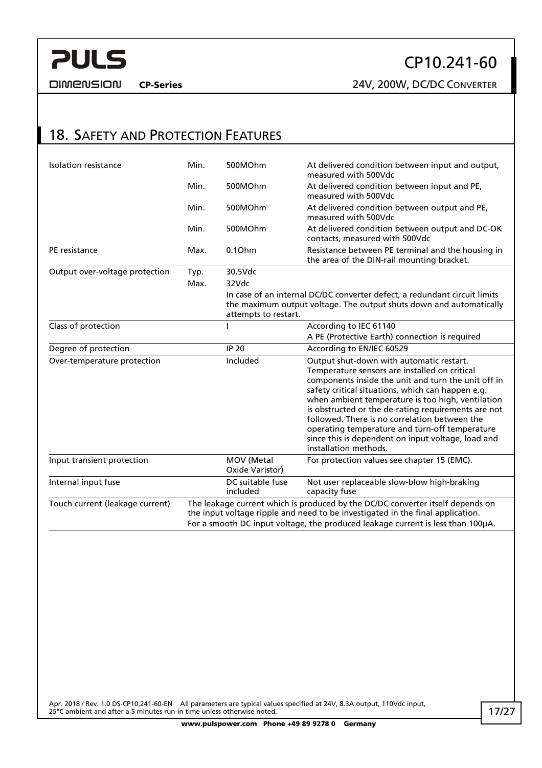<span id="page-16-0"></span>

CP10.241-60

CP-Series 24V, 200W, DC/DC CONVERTER

## 18. SAFETY AND PROTECTION FEATURES

| Isolation resistance            | Min. | 500MOhm                                                                                                                                                                                                                                             | At delivered condition between input and output,<br>measured with 500Vdc                                                                                                                                                                                                                                                                                                                                                                                                                            |  |
|---------------------------------|------|-----------------------------------------------------------------------------------------------------------------------------------------------------------------------------------------------------------------------------------------------------|-----------------------------------------------------------------------------------------------------------------------------------------------------------------------------------------------------------------------------------------------------------------------------------------------------------------------------------------------------------------------------------------------------------------------------------------------------------------------------------------------------|--|
|                                 | Min. | 500MOhm                                                                                                                                                                                                                                             | At delivered condition between input and PE,<br>measured with 500Vdc                                                                                                                                                                                                                                                                                                                                                                                                                                |  |
|                                 | Min. | 500MOhm                                                                                                                                                                                                                                             | At delivered condition between output and PE,<br>measured with 500Vdc                                                                                                                                                                                                                                                                                                                                                                                                                               |  |
|                                 | Min. | 500MOhm                                                                                                                                                                                                                                             | At delivered condition between output and DC-OK<br>contacts, measured with 500Vdc                                                                                                                                                                                                                                                                                                                                                                                                                   |  |
| PE resistance                   | Max. | 0.10 <sub>hm</sub>                                                                                                                                                                                                                                  | Resistance between PE terminal and the housing in<br>the area of the DIN-rail mounting bracket.                                                                                                                                                                                                                                                                                                                                                                                                     |  |
| Output over-voltage protection  | Typ. | 30.5Vdc                                                                                                                                                                                                                                             |                                                                                                                                                                                                                                                                                                                                                                                                                                                                                                     |  |
|                                 | Max. | 32Vdc                                                                                                                                                                                                                                               |                                                                                                                                                                                                                                                                                                                                                                                                                                                                                                     |  |
|                                 |      | attempts to restart.                                                                                                                                                                                                                                | In case of an internal DC/DC converter defect, a redundant circuit limits<br>the maximum output voltage. The output shuts down and automatically                                                                                                                                                                                                                                                                                                                                                    |  |
| Class of protection             |      |                                                                                                                                                                                                                                                     | According to IEC 61140                                                                                                                                                                                                                                                                                                                                                                                                                                                                              |  |
|                                 |      |                                                                                                                                                                                                                                                     | A PE (Protective Earth) connection is required                                                                                                                                                                                                                                                                                                                                                                                                                                                      |  |
| Degree of protection            |      | <b>IP 20</b>                                                                                                                                                                                                                                        | According to EN/IEC 60529                                                                                                                                                                                                                                                                                                                                                                                                                                                                           |  |
| Over-temperature protection     |      | Included                                                                                                                                                                                                                                            | Output shut-down with automatic restart.<br>Temperature sensors are installed on critical<br>components inside the unit and turn the unit off in<br>safety critical situations, which can happen e.g.<br>when ambient temperature is too high, ventilation<br>is obstructed or the de-rating requirements are not<br>followed. There is no correlation between the<br>operating temperature and turn-off temperature<br>since this is dependent on input voltage, load and<br>installation methods. |  |
| Input transient protection      |      | MOV (Metal<br>Oxide Varistor)                                                                                                                                                                                                                       | For protection values see chapter 15 (EMC).                                                                                                                                                                                                                                                                                                                                                                                                                                                         |  |
| Internal input fuse             |      | DC suitable fuse<br>included                                                                                                                                                                                                                        | Not user replaceable slow-blow high-braking<br>capacity fuse                                                                                                                                                                                                                                                                                                                                                                                                                                        |  |
| Touch current (leakage current) |      | The leakage current which is produced by the DC/DC converter itself depends on<br>the input voltage ripple and need to be investigated in the final application.<br>For a smooth DC input voltage, the produced leakage current is less than 100µA. |                                                                                                                                                                                                                                                                                                                                                                                                                                                                                                     |  |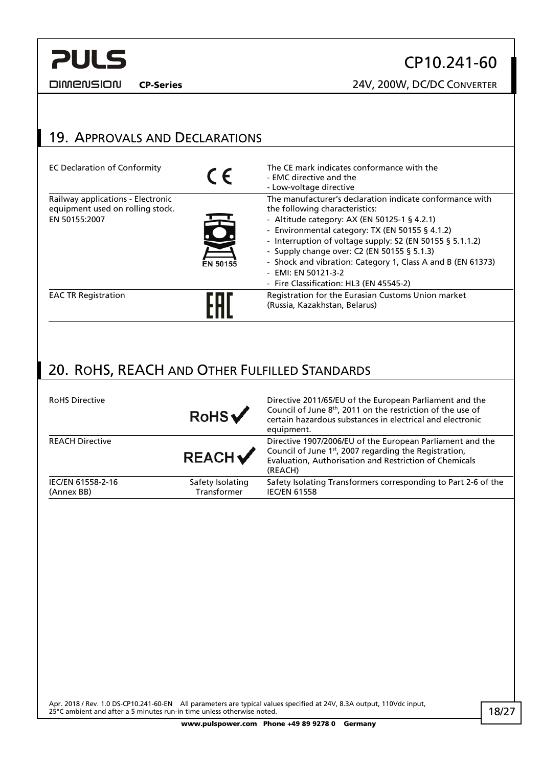#### <span id="page-17-1"></span>**DIMENSION**

## CP10.241-60

CP-Series 24V, 200W, DC/DC CONVERTER

# <span id="page-17-0"></span>19. APPROVALS AND DECLARATIONS

| <b>EC Declaration of Conformity</b>                                                    | $\epsilon$ | The CE mark indicates conformance with the<br>- EMC directive and the<br>- Low-voltage directive                                                                                                                                                                                                                                                                                                                                           |
|----------------------------------------------------------------------------------------|------------|--------------------------------------------------------------------------------------------------------------------------------------------------------------------------------------------------------------------------------------------------------------------------------------------------------------------------------------------------------------------------------------------------------------------------------------------|
| Railway applications - Electronic<br>equipment used on rolling stock.<br>EN 50155:2007 | EN 50155   | The manufacturer's declaration indicate conformance with<br>the following characteristics:<br>- Altitude category: AX (EN 50125-1 § 4.2.1)<br>- Environmental category: TX (EN 50155 § 4.1.2)<br>- Interruption of voltage supply: S2 (EN 50155 § 5.1.1.2)<br>- Supply change over: C2 (EN 50155 § 5.1.3)<br>- Shock and vibration: Category 1, Class A and B (EN 61373)<br>- EMI: EN 50121-3-2<br>- Fire Classification: HL3 (EN 45545-2) |
| <b>EAC TR Registration</b>                                                             |            | Registration for the Eurasian Customs Union market<br>(Russia, Kazakhstan, Belarus)                                                                                                                                                                                                                                                                                                                                                        |

## 20. ROHS, REACH AND OTHER FULFILLED STANDARDS

| <b>RoHS Directive</b>           | RobS                            | Directive 2011/65/EU of the European Parliament and the<br>Council of June 8 <sup>th</sup> , 2011 on the restriction of the use of<br>certain hazardous substances in electrical and electronic<br>equipment. |
|---------------------------------|---------------------------------|---------------------------------------------------------------------------------------------------------------------------------------------------------------------------------------------------------------|
| <b>REACH Directive</b>          | <b>REACH</b>                    | Directive 1907/2006/EU of the European Parliament and the<br>Council of June 1st, 2007 regarding the Registration,<br>Evaluation, Authorisation and Restriction of Chemicals<br>(REACH)                       |
| IEC/EN 61558-2-16<br>(Annex BB) | Safety Isolating<br>Transformer | Safety Isolating Transformers corresponding to Part 2-6 of the<br><b>IEC/EN 61558</b>                                                                                                                         |
|                                 |                                 |                                                                                                                                                                                                               |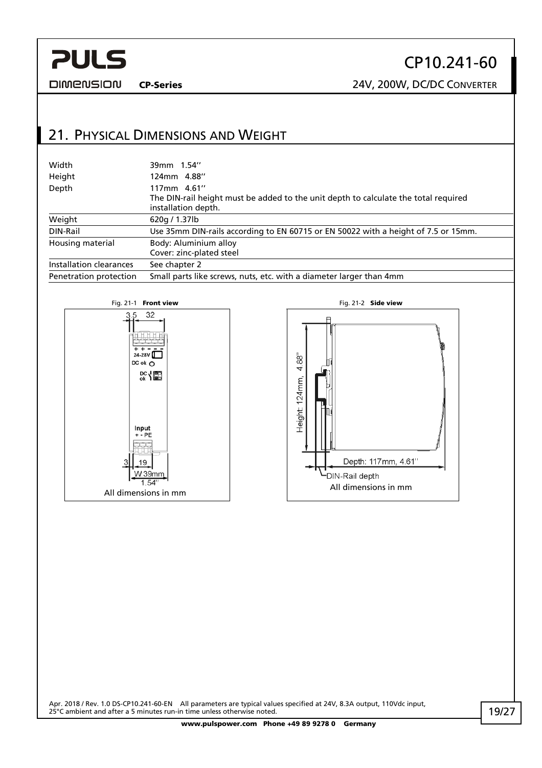<span id="page-18-0"></span>**DIMENSION** 

## CP10.241-60

CP-Series 24V, 200W, DC/DC CONVERTER

## 21. PHYSICAL DIMENSIONS AND WEIGHT

| Width                   | 39mm 1.54"                                                                                                                |
|-------------------------|---------------------------------------------------------------------------------------------------------------------------|
| Height                  | 124mm 4.88"                                                                                                               |
| Depth                   | 117mm 4.61"<br>The DIN-rail height must be added to the unit depth to calculate the total required<br>installation depth. |
| Weight                  | 620g / 1.37lb                                                                                                             |
| DIN-Rail                | Use 35mm DIN-rails according to EN 60715 or EN 50022 with a height of 7.5 or 15mm.                                        |
| Housing material        | Body: Aluminium alloy<br>Cover: zinc-plated steel                                                                         |
| Installation clearances | See chapter 2                                                                                                             |
| Penetration protection  | Small parts like screws, nuts, etc. with a diameter larger than 4mm                                                       |



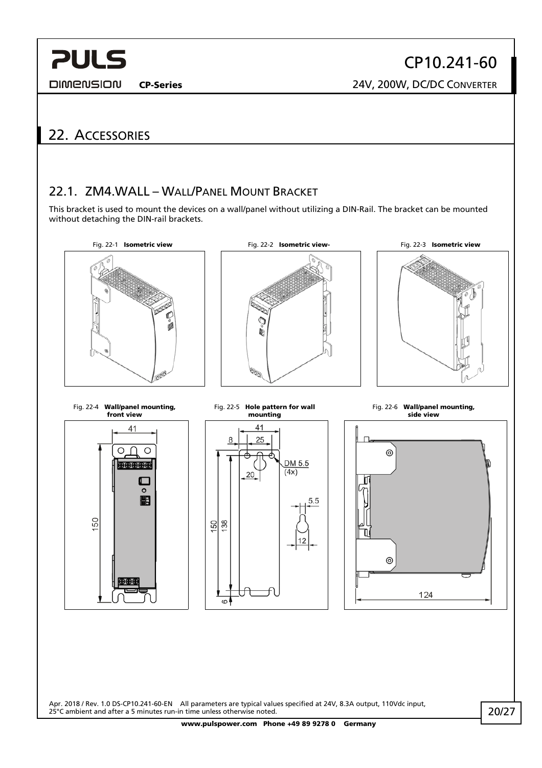<span id="page-19-0"></span>**DIMENSION** 

CP10.241-60 CP-Series 24V, 200W, DC/DC CONVERTER

## 22. ACCESSORIES

### 22.1. ZM4.WALL – WALL/PANEL MOUNT BRACKET

This bracket is used to mount the devices on a wall/panel without utilizing a DIN-Rail. The bracket can be mounted without detaching the DIN-rail brackets.



Apr. 2018 / Rev. 1.0 DS-CP10.241-60-EN All parameters are typical values specified at 24V, 8.3A output, 110Vdc input, 25°C ambient and after a 5 minutes run-in time unless otherwise noted.

20/27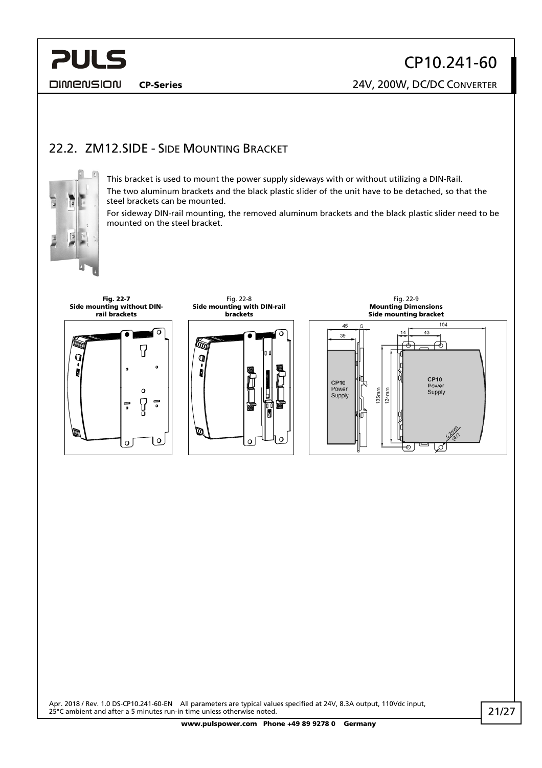<span id="page-20-0"></span>**DIMENSION** 

## 22.2. ZM12.SIDE - SIDE MOUNTING BRACKET



This bracket is used to mount the power supply sideways with or without utilizing a DIN-Rail. The two aluminum brackets and the black plastic slider of the unit have to be detached, so that the steel brackets can be mounted.

For sideway DIN-rail mounting, the removed aluminum brackets and the black plastic slider need to be mounted on the steel bracket.

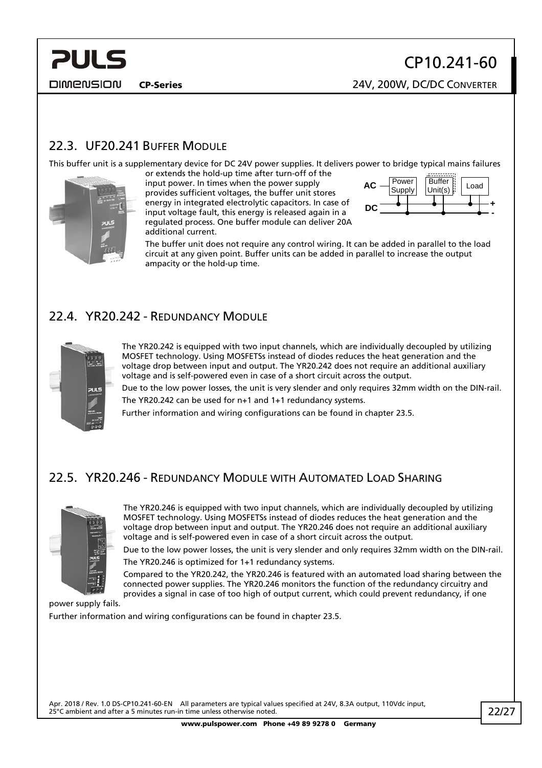CP-Series 24V, 200W, DC/DC CONVERTER

## <span id="page-21-0"></span>22.3. UF20.241 BUFFER MODULE

This buffer unit is a supplementary device for DC 24V power supplies. It delivers power to bridge typical mains failures



or extends the hold-up time after turn-off of the input power. In times when the power supply provides sufficient voltages, the buffer unit stores

energy in integrated electrolytic capacitors. In case of input voltage fault, this energy is released again in a regulated process. One buffer module can deliver 20A additional current.



The buffer unit does not require any control wiring. It can be added in parallel to the load circuit at any given point. Buffer units can be added in parallel to increase the output ampacity or the hold-up time.

### 22.4. YR20.242 - REDUNDANCY MODULE



The YR20.242 is equipped with two input channels, which are individually decoupled by utilizing MOSFET technology. Using MOSFETSs instead of diodes reduces the heat generation and the voltage drop between input and output. The YR20.242 does not require an additional auxiliary voltage and is self-powered even in case of a short circuit across the output.

Due to the low power losses, the unit is very slender and only requires 32mm width on the DIN-rail. The YR20.242 can be used for n+1 and 1+1 redundancy systems.

Further information and wiring configurations can be found in chapter [23.5](#page-24-1).

## 22.5. YR20.246 - REDUNDANCY MODULE WITH AUTOMATED LOAD SHARING



The YR20.246 is equipped with two input channels, which are individually decoupled by utilizing MOSFET technology. Using MOSFETSs instead of diodes reduces the heat generation and the voltage drop between input and output. The YR20.246 does not require an additional auxiliary voltage and is self-powered even in case of a short circuit across the output.

Due to the low power losses, the unit is very slender and only requires 32mm width on the DIN-rail. The YR20.246 is optimized for 1+1 redundancy systems.

Compared to the YR20.242, the YR20.246 is featured with an automated load sharing between the connected power supplies. The YR20.246 monitors the function of the redundancy circuitry and provides a signal in case of too high of output current, which could prevent redundancy, if one

power supply fails.

Further information and wiring configurations can be found in chapter [23.5](#page-24-1).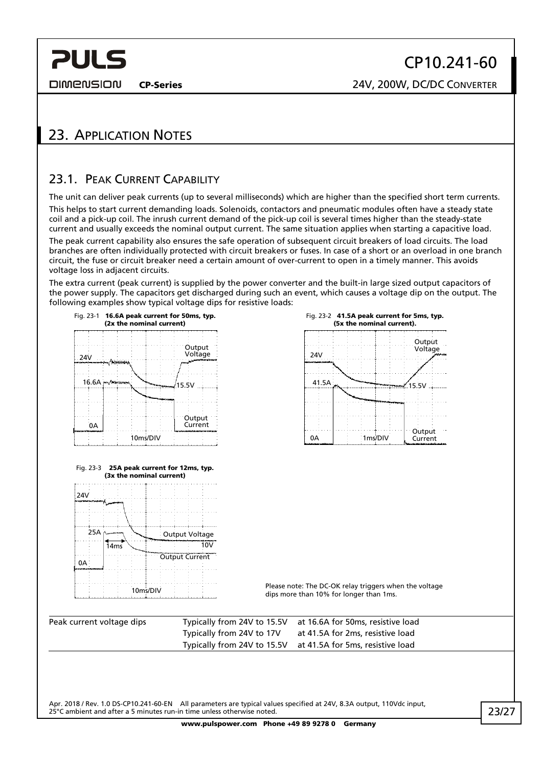<span id="page-22-0"></span>**DIMENSION** 

CP-Series 24V, 200W, DC/DC CONVERTER

## 23. APPLICATION NOTES

### <span id="page-22-1"></span>23.1. PEAK CURRENT CAPABILITY

The unit can deliver peak currents (up to several milliseconds) which are higher than the specified short term currents. This helps to start current demanding loads. Solenoids, contactors and pneumatic modules often have a steady state coil and a pick-up coil. The inrush current demand of the pick-up coil is several times higher than the steady-state current and usually exceeds the nominal output current. The same situation applies when starting a capacitive load.

The peak current capability also ensures the safe operation of subsequent circuit breakers of load circuits. The load branches are often individually protected with circuit breakers or fuses. In case of a short or an overload in one branch circuit, the fuse or circuit breaker need a certain amount of over-current to open in a timely manner. This avoids voltage loss in adjacent circuits.

The extra current (peak current) is supplied by the power converter and the built-in large sized output capacitors of the power supply. The capacitors get discharged during such an event, which causes a voltage dip on the output. The following examples show typical voltage dips for resistive loads:



10ms/DIV



Please note: The DC-OK relay triggers when the voltage dips more than 10% for longer than 1ms.

| Peak current voltage dips |                           | Typically from 24V to 15.5V at 16.6A for 50ms, resistive load |
|---------------------------|---------------------------|---------------------------------------------------------------|
|                           | Typically from 24V to 17V | at 41.5A for 2ms, resistive load                              |
|                           |                           | Typically from 24V to 15.5V at 41.5A for 5ms, resistive load  |

Apr. 2018 / Rev. 1.0 DS-CP10.241-60-EN All parameters are typical values specified at 24V, 8.3A output, 110Vdc input, 25°C ambient and after a 5 minutes run-in time unless otherwise noted.

23/27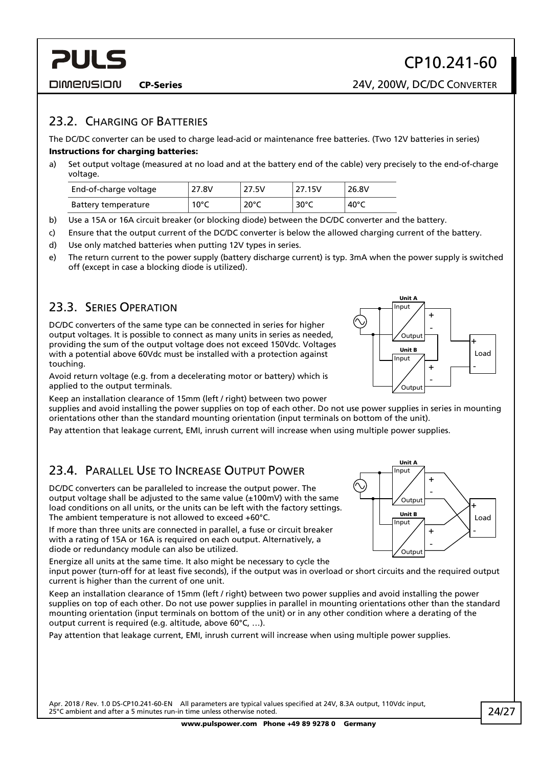<span id="page-23-0"></span>**PULS** 

#### 23.2. CHARGING OF BATTERIES

The DC/DC converter can be used to charge lead-acid or maintenance free batteries. (Two 12V batteries in series) Instructions for charging batteries:

a) Set output voltage (measured at no load and at the battery end of the cable) very precisely to the end-of-charge voltage.

| End-of-charge voltage | 27.8V          | 27.5V          | 27.15V         | 26.8V           |
|-----------------------|----------------|----------------|----------------|-----------------|
| Battery temperature   | $10^{\circ}$ C | $20^{\circ}$ C | $30^{\circ}$ C | 40 $^{\circ}$ C |

- b) Use a 15A or 16A circuit breaker (or blocking diode) between the DC/DC converter and the battery.
- c) Ensure that the output current of the DC/DC converter is below the allowed charging current of the battery.
- d) Use only matched batteries when putting 12V types in series.
- e) The return current to the power supply (battery discharge current) is typ. 3mA when the power supply is switched off (except in case a blocking diode is utilized).

## 23.3. SERIES OPERATION

DC/DC converters of the same type can be connected in series for higher output voltages. It is possible to connect as many units in series as needed, providing the sum of the output voltage does not exceed 150Vdc. Voltages with a potential above 60Vdc must be installed with a protection against touching.

Avoid return voltage (e.g. from a decelerating motor or battery) which is applied to the output terminals.

Keep an installation clearance of 15mm (left / right) between two power

supplies and avoid installing the power supplies on top of each other. Do not use power supplies in series in mounting orientations other than the standard mounting orientation (input terminals on bottom of the unit).

Pay attention that leakage current, EMI, inrush current will increase when using multiple power supplies.

## 23.4. PARALLEL USE TO INCREASE OUTPUT POWER

DC/DC converters can be paralleled to increase the output power. The output voltage shall be adjusted to the same value (±100mV) with the same load conditions on all units, or the units can be left with the factory settings. The ambient temperature is not allowed to exceed +60°C.

If more than three units are connected in parallel, a fuse or circuit breaker with a rating of 15A or 16A is required on each output. Alternatively, a diode or redundancy module can also be utilized.

Energize all units at the same time. It also might be necessary to cycle the

input power (turn-off for at least five seconds), if the output was in overload or short circuits and the required output current is higher than the current of one unit.

Keep an installation clearance of 15mm (left / right) between two power supplies and avoid installing the power supplies on top of each other. Do not use power supplies in parallel in mounting orientations other than the standard mounting orientation (input terminals on bottom of the unit) or in any other condition where a derating of the output current is required (e.g. altitude, above 60°C, …).

Pay attention that leakage current, EMI, inrush current will increase when using multiple power supplies.

Apr. 2018 / Rev. 1.0 DS-CP10.241-60-EN All parameters are typical values specified at 24V, 8.3A output, 110Vdc input, 25°C ambient and after a 5 minutes run-in time unless otherwise noted.



-

+ -

Unit A Input

> .<br>Output Unit B

-

Load +

Load +

-

+



Unit B

**Output** 

Input

 $\sim$ 

Output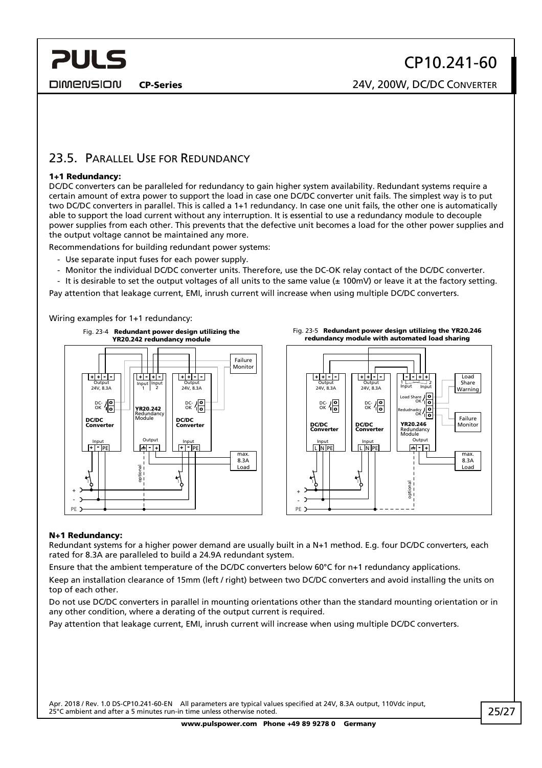<span id="page-24-0"></span>**DIMENSION** 

CP-Series 24V, 200W, DC/DC CONVERTER

### <span id="page-24-1"></span>23.5. PARALLEL USE FOR REDUNDANCY

#### 1+1 Redundancy:

DC/DC converters can be paralleled for redundancy to gain higher system availability. Redundant systems require a certain amount of extra power to support the load in case one DC/DC converter unit fails. The simplest way is to put two DC/DC converters in parallel. This is called a 1+1 redundancy. In case one unit fails, the other one is automatically able to support the load current without any interruption. It is essential to use a redundancy module to decouple power supplies from each other. This prevents that the defective unit becomes a load for the other power supplies and the output voltage cannot be maintained any more.

Recommendations for building redundant power systems:

- Use separate input fuses for each power supply.
- Monitor the individual DC/DC converter units. Therefore, use the DC-OK relay contact of the DC/DC converter.
- It is desirable to set the output voltages of all units to the same value ( $\pm$  100mV) or leave it at the factory setting.

Pay attention that leakage current, EMI, inrush current will increase when using multiple DC/DC converters.

Wiring examples for 1+1 redundancy:







#### N+1 Redundancy:

Redundant systems for a higher power demand are usually built in a N+1 method. E.g. four DC/DC converters, each rated for 8.3A are paralleled to build a 24.9A redundant system.

Ensure that the ambient temperature of the DC/DC converters below 60°C for n+1 redundancy applications.

Keep an installation clearance of 15mm (left / right) between two DC/DC converters and avoid installing the units on top of each other.

Do not use DC/DC converters in parallel in mounting orientations other than the standard mounting orientation or in any other condition, where a derating of the output current is required.

Pay attention that leakage current, EMI, inrush current will increase when using multiple DC/DC converters.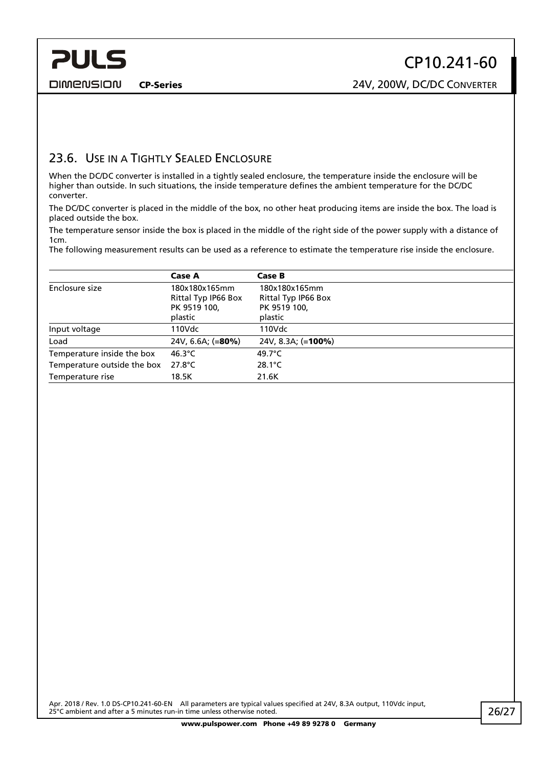<span id="page-25-0"></span>**PULS** 

CP-Series 24V, 200W, DC/DC CONVERTER

## 23.6. USE IN A TIGHTLY SEALED ENCLOSURE

When the DC/DC converter is installed in a tightly sealed enclosure, the temperature inside the enclosure will be higher than outside. In such situations, the inside temperature defines the ambient temperature for the DC/DC converter.

The DC/DC converter is placed in the middle of the box, no other heat producing items are inside the box. The load is placed outside the box.

The temperature sensor inside the box is placed in the middle of the right side of the power supply with a distance of 1cm.

The following measurement results can be used as a reference to estimate the temperature rise inside the enclosure.

|                             | <b>Case A</b>                        | Case B                               |
|-----------------------------|--------------------------------------|--------------------------------------|
| Enclosure size              | 180x180x165mm<br>Rittal Typ IP66 Box | 180x180x165mm<br>Rittal Typ IP66 Box |
|                             | PK 9519 100,                         | PK 9519 100,                         |
|                             | plastic                              | plastic                              |
| Input voltage               | 110Vdc                               | 110Vdc                               |
| Load                        | 24V, 6.6A; $(=80\%)$                 | 24V, 8.3A; (= <b>100%)</b>           |
| Temperature inside the box  | 46.3 $\degree$ C                     | 49.7 $^{\circ}$ C                    |
| Temperature outside the box | $27.8^{\circ}$ C                     | $28.1^{\circ}$ C                     |
| Temperature rise            | 18.5K                                | 21.6K                                |